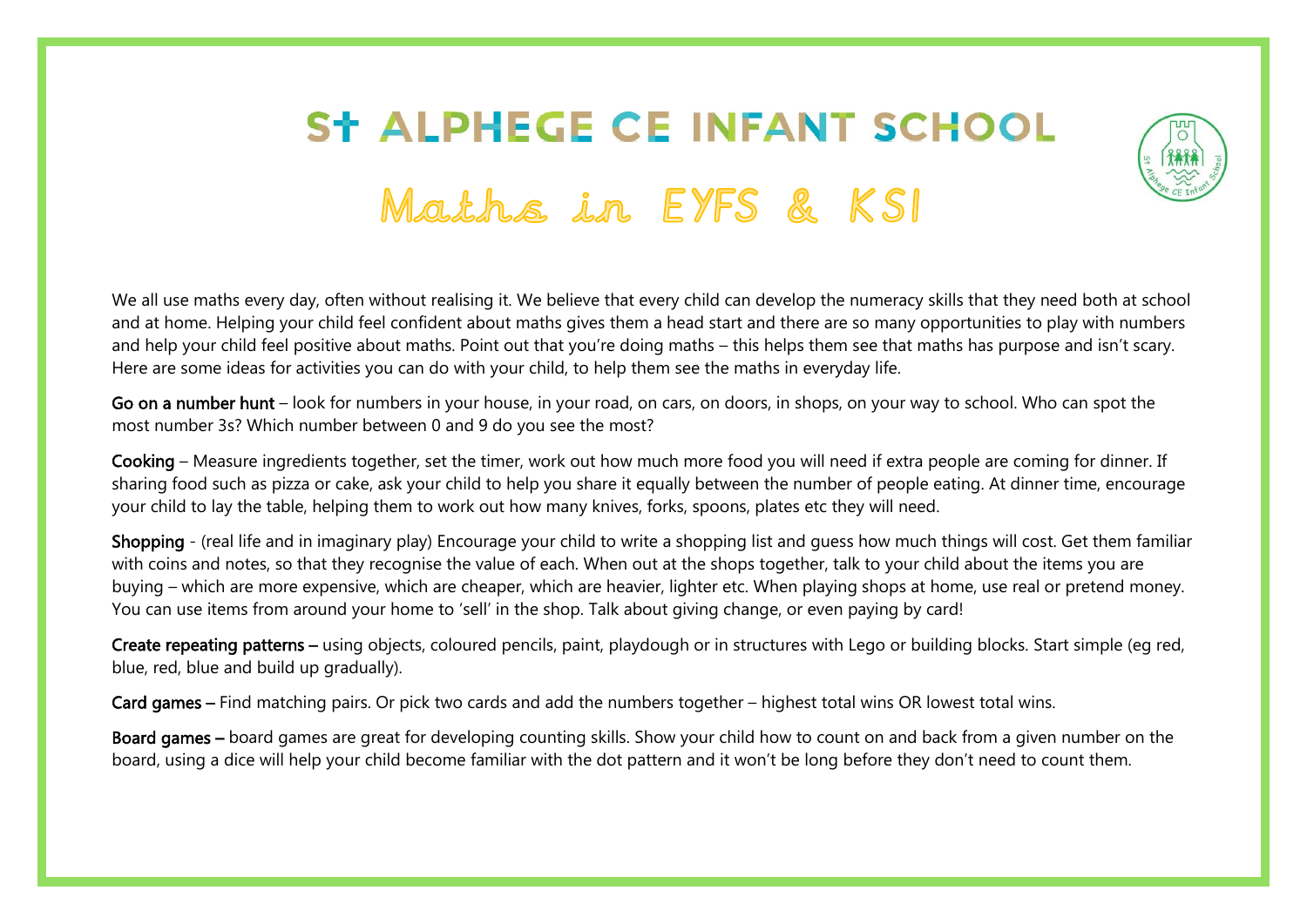## **ST ALPHEGE CE INFANT SCHOOL** Maths in EYFS & KSI



We all use maths every day, often without realising it. We believe that every child can develop the numeracy skills that they need both at school and at home. Helping your child feel confident about maths gives them a head start and there are so many opportunities to play with numbers and help your child feel positive about maths. Point out that you're doing maths – this helps them see that maths has purpose and isn't scary. Here are some ideas for activities you can do with your child, to help them see the maths in everyday life.

Go on a number hunt – look for numbers in your house, in your road, on cars, on doors, in shops, on your way to school. Who can spot the most number 3s? Which number between 0 and 9 do you see the most?

Cooking – Measure ingredients together, set the timer, work out how much more food you will need if extra people are coming for dinner. If sharing food such as pizza or cake, ask your child to help you share it equally between the number of people eating. At dinner time, encourage your child to lay the table, helping them to work out how many knives, forks, spoons, plates etc they will need.

Shopping - (real life and in imaginary play) Encourage your child to write a shopping list and guess how much things will cost. Get them familiar with coins and notes, so that they recognise the value of each. When out at the shops together, talk to your child about the items you are buying – which are more expensive, which are cheaper, which are heavier, lighter etc. When playing shops at home, use real or pretend money. You can use items from around your home to 'sell' in the shop. Talk about giving change, or even paying by card!

Create repeating patterns – using objects, coloured pencils, paint, playdough or in structures with Lego or building blocks. Start simple (eg red, blue, red, blue and build up gradually).

Card games – Find matching pairs. Or pick two cards and add the numbers together – highest total wins OR lowest total wins.

Board games – board games are great for developing counting skills. Show your child how to count on and back from a given number on the board, using a dice will help your child become familiar with the dot pattern and it won't be long before they don't need to count them.